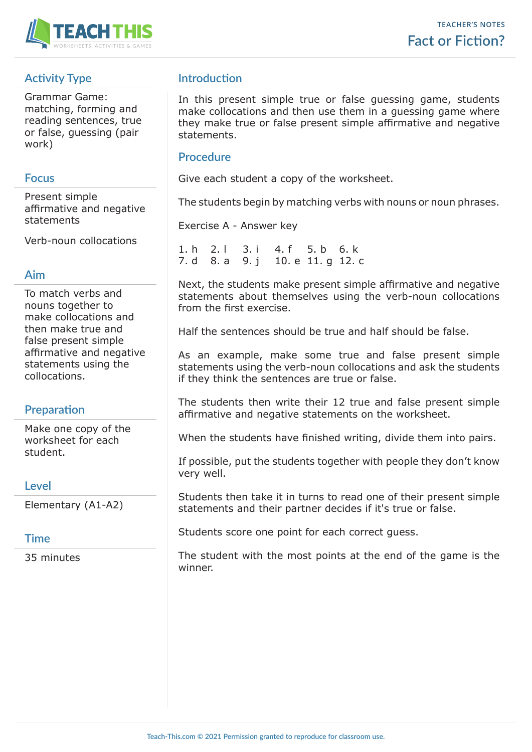

# **Activity Type**

Grammar Game: matching, forming and reading sentences, true or false, guessing (pair work)

#### **Focus**

Present simple affirmative and negative statements

Verb-noun collocations

## **Aim**

To match verbs and nouns together to make collocations and then make true and false present simple affirmative and negative statements using the collocations.

## **Preparation**

Make one copy of the worksheet for each student.

## **Level**

Elementary (A1-A2)

## **Time**

35 minutes

## **Introduction**

In this present simple true or false guessing game, students make collocations and then use them in a guessing game where they make true or false present simple affirmative and negative statements.

#### **Procedure**

Give each student a copy of the worksheet.

The students begin by matching verbs with nouns or noun phrases.

Exercise A - Answer key

1. h 2. l 3. i 4. f 5. b 6. k 7. d 8. a 9. j 10. e 11. g 12. c

Next, the students make present simple affirmative and negative statements about themselves using the verb-noun collocations from the first exercise.

Half the sentences should be true and half should be false.

As an example, make some true and false present simple statements using the verb-noun collocations and ask the students if they think the sentences are true or false.

The students then write their 12 true and false present simple affirmative and negative statements on the worksheet.

When the students have finished writing, divide them into pairs.

If possible, put the students together with people they don't know very well.

Students then take it in turns to read one of their present simple statements and their partner decides if it's true or false.

Students score one point for each correct guess.

The student with the most points at the end of the game is the winner.